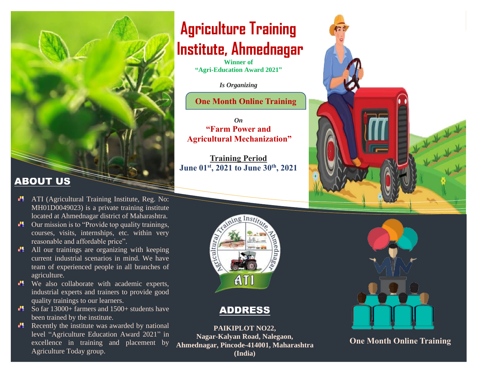#### **ABOUT US**

- **ATI** (Agricultural Training Institute, Reg. No: MH01D0049023) is a private training institute located at Ahmednagar district of Maharashtra.
- $\Box$  Our mission is to "Provide top quality trainings, courses, visits, internships, etc. within very reasonable and affordable price".
- $\Box$  All our trainings are organizing with keeping current industrial scenarios in mind. We have team of experienced people in all branches of agriculture.
- $\blacksquare$  We also collaborate with academic experts, industrial experts and trainers to provide good quality trainings to our learners.
- So far 13000+ farmers and 1500+ students have been trained by the institute.
- Recently the institute was awarded by national level "Agriculture Education Award 2021" in excellence in training and placement by Agriculture Today group.

## **Agriculture Training Institute, Ahmednagar**

**Winner of "Agri-Education Award 2021"**

*Is Organizing* 

**One Month Online Training**

*On*  **"Farm Power and Agricultural Mechanization"**

**Training Period June 01st, 2021 to June 30th, 2021**



#### ADDRESS

**PAIKIPLOT NO22, Nagar-Kalyan Road, Nalegaon, Ahmednagar, Pincode-414001, Maharashtra (India)**





**One Month Online Training**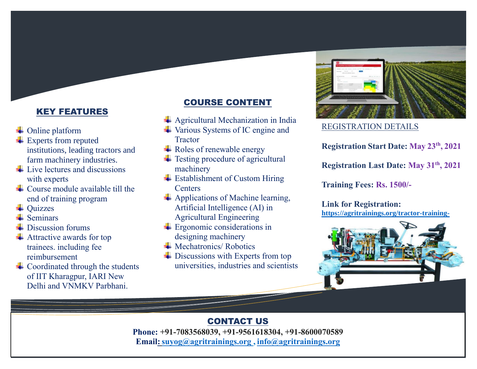#### KEY FEATURES

- **↓** Online platform
- **Experts from reputed** institutions, leading tractors and farm machinery industries.
- $\pm$  Live lectures and discussions with experts
- $\perp$  Course module available till the end of training program
- $\overline{\phantom{a}}$  Ouizzes
- $\overline{\phantom{a}}$  Seminars
- Discussion forums
- $\bigstar$  Attractive awards for top trainees. including fee reimbursement
- $\overline{\phantom{a}}$  Coordinated through the students of IIT Kharagpur, IARI New Delhi and VNMKV Parbhani.

#### COURSE CONTENT

- $\overline{\phantom{a}}$  Agricultural Mechanization in India
- **↓** Various Systems of IC engine and **Tractor**
- **Exercise** Roles of renewable energy
- $\ddot{\phantom{1}}$  Testing procedure of agricultural machinery
- $\overline{\phantom{a}}$  Establishment of Custom Hiring **Centers**
- $\downarrow$  Applications of Machine learning, Artificial Intelligence (AI) in Agricultural Engineering
- $\pm$  Ergonomic considerations in designing machinery
- $\blacksquare$  Mechatronics/ Robotics
- $\overline{\phantom{a}}$  Discussions with Experts from top universities, industries and scientists



#### REGISTRATION DETAILS

**Registration Start Date: May 23th, 2021**

**Registration Last Date: May 31th, 2021**

**Training Fees: Rs. 1500/-**

**Link for Registration: [https://agritrainings.org/tractor-training-](https://agritrainings.org/tractor-training-2021/)**



#### CONTACT US

Phone: +91-7083568039, +91-9561618304, +91-8600070589 **Email:** suyog@agritrainings.org , <info@agritrainings.org>